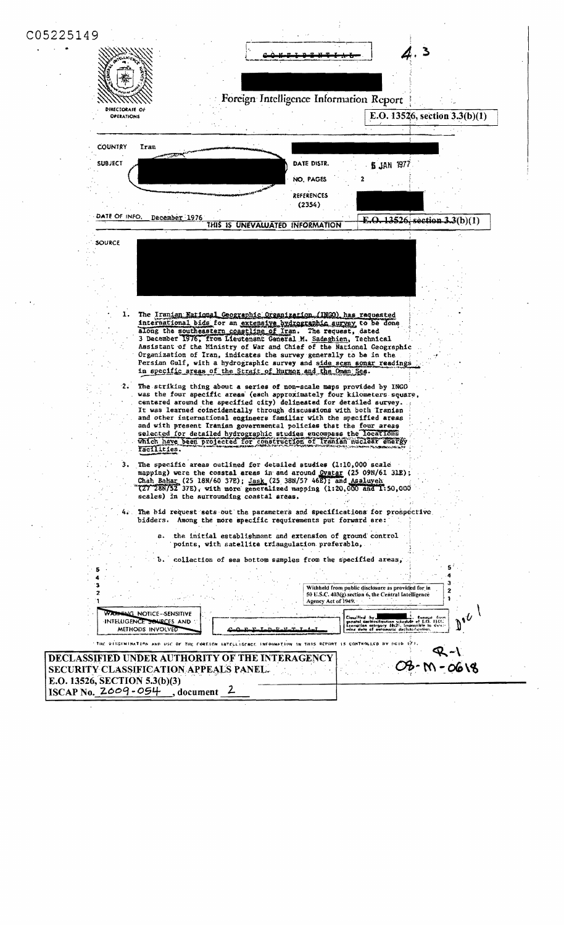